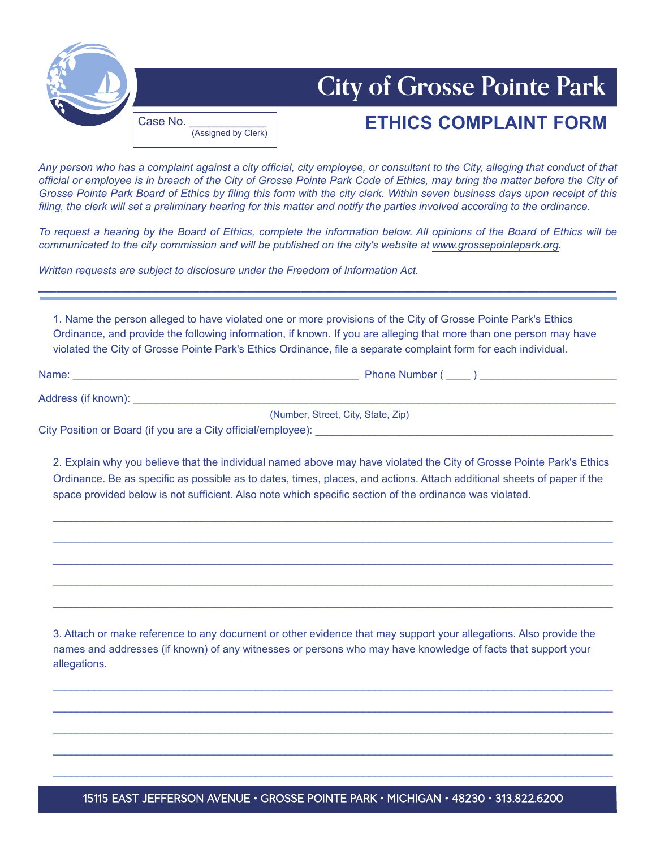

## **City of Grosse Pointe Park**

## **ETHICS COMPLAINT FORM**

*Any person who has a complaint against a city official, city employee, or consultant to the City, alleging that conduct of that official or employee is in breach of the City of Grosse Pointe Park Code of Ethics, may bring the matter before the City of Grosse Pointe Park Board of Ethics by filing this form with the city clerk. Within seven business days upon receipt of this filing, the clerk will set a preliminary hearing for this matter and notify the parties involved according to the ordinance.* 

*To request a hearing by the Board of Ethics, complete the information below. All opinions of the Board of Ethics will be communicated to the city commission and will be published on the city's website at www.grossepointepark.org.* 

*Written requests are subject to disclosure under the Freedom of Information Act.* 

(Assigned by Clerk)

1. Name the person alleged to have violated one or more provisions of the City of Grosse Pointe Park's Ethics Ordinance, and provide the following information, if known. If you are alleging that more than one person may have violated the City of Grosse Pointe Park's Ethics Ordinance, file a separate complaint form for each individual.

**\_\_\_\_\_\_\_\_\_\_\_\_\_\_\_\_\_\_\_\_\_\_\_\_\_\_\_\_\_\_\_\_\_\_\_\_\_\_\_\_\_\_\_\_\_\_\_\_\_\_\_\_\_\_\_\_\_\_\_\_\_\_\_\_\_\_\_\_\_\_\_\_\_\_\_\_\_\_\_\_\_\_\_\_\_\_\_\_\_\_\_\_\_\_\_\_\_**

Name: \_\_\_\_\_\_\_\_\_\_\_\_\_\_\_\_\_\_\_\_\_\_\_\_\_\_\_\_\_\_\_\_\_\_\_\_\_\_\_\_\_\_\_\_\_\_\_\_ Phone Number ( \_\_\_\_ ) \_\_\_\_\_\_\_\_\_\_\_\_\_\_\_\_\_\_\_\_\_\_\_

Address (if known): \_\_\_\_\_\_\_\_\_\_\_\_\_\_\_\_\_\_\_\_\_\_\_\_\_\_\_\_\_\_\_\_\_\_\_\_\_\_\_\_\_\_\_\_\_\_\_\_\_\_\_\_\_\_\_\_\_\_\_\_\_\_\_\_\_\_\_\_\_\_\_\_\_\_\_\_\_\_\_\_\_

(Number, Street, City, State, Zip)

City Position or Board (if you are a City official/employee): \_\_\_\_\_\_\_\_\_\_\_\_\_\_\_\_\_\_\_\_\_\_\_\_\_\_\_\_\_\_\_\_\_\_\_\_\_\_\_\_\_\_\_\_\_\_\_\_\_\_

2. Explain why you believe that the individual named above may have violated the City of Grosse Pointe Park's Ethics Ordinance. Be as specific as possible as to dates, times, places, and actions. Attach additional sheets of paper if the space provided below is not sufficient. Also note which specific section of the ordinance was violated.

\_\_\_\_\_\_\_\_\_\_\_\_\_\_\_\_\_\_\_\_\_\_\_\_\_\_\_\_\_\_\_\_\_\_\_\_\_\_\_\_\_\_\_\_\_\_\_\_\_\_\_\_\_\_\_\_\_\_\_\_\_\_\_\_\_\_\_\_\_\_\_\_\_\_\_\_\_\_\_\_\_\_\_\_\_\_\_\_\_\_\_\_\_\_

\_\_\_\_\_\_\_\_\_\_\_\_\_\_\_\_\_\_\_\_\_\_\_\_\_\_\_\_\_\_\_\_\_\_\_\_\_\_\_\_\_\_\_\_\_\_\_\_\_\_\_\_\_\_\_\_\_\_\_\_\_\_\_\_\_\_\_\_\_\_\_\_\_\_\_\_\_\_\_\_\_\_\_\_\_\_\_\_\_\_\_\_\_\_

\_\_\_\_\_\_\_\_\_\_\_\_\_\_\_\_\_\_\_\_\_\_\_\_\_\_\_\_\_\_\_\_\_\_\_\_\_\_\_\_\_\_\_\_\_\_\_\_\_\_\_\_\_\_\_\_\_\_\_\_\_\_\_\_\_\_\_\_\_\_\_\_\_\_\_\_\_\_\_\_\_\_\_\_\_\_\_\_\_\_\_\_\_\_

\_\_\_\_\_\_\_\_\_\_\_\_\_\_\_\_\_\_\_\_\_\_\_\_\_\_\_\_\_\_\_\_\_\_\_\_\_\_\_\_\_\_\_\_\_\_\_\_\_\_\_\_\_\_\_\_\_\_\_\_\_\_\_\_\_\_\_\_\_\_\_\_\_\_\_\_\_\_\_\_\_\_\_\_\_\_\_\_\_\_\_\_\_\_

\_\_\_\_\_\_\_\_\_\_\_\_\_\_\_\_\_\_\_\_\_\_\_\_\_\_\_\_\_\_\_\_\_\_\_\_\_\_\_\_\_\_\_\_\_\_\_\_\_\_\_\_\_\_\_\_\_\_\_\_\_\_\_\_\_\_\_\_\_\_\_\_\_\_\_\_\_\_\_\_\_\_\_\_\_\_\_\_\_\_\_\_\_\_

3. Attach or make reference to any document or other evidence that may support your allegations. Also provide the names and addresses (if known) of any witnesses or persons who may have knowledge of facts that support your allegations.

\_\_\_\_\_\_\_\_\_\_\_\_\_\_\_\_\_\_\_\_\_\_\_\_\_\_\_\_\_\_\_\_\_\_\_\_\_\_\_\_\_\_\_\_\_\_\_\_\_\_\_\_\_\_\_\_\_\_\_\_\_\_\_\_\_\_\_\_\_\_\_\_\_\_\_\_\_\_\_\_\_\_\_\_\_\_\_\_\_\_\_\_\_\_

\_\_\_\_\_\_\_\_\_\_\_\_\_\_\_\_\_\_\_\_\_\_\_\_\_\_\_\_\_\_\_\_\_\_\_\_\_\_\_\_\_\_\_\_\_\_\_\_\_\_\_\_\_\_\_\_\_\_\_\_\_\_\_\_\_\_\_\_\_\_\_\_\_\_\_\_\_\_\_\_\_\_\_\_\_\_\_\_\_\_\_\_\_\_

\_\_\_\_\_\_\_\_\_\_\_\_\_\_\_\_\_\_\_\_\_\_\_\_\_\_\_\_\_\_\_\_\_\_\_\_\_\_\_\_\_\_\_\_\_\_\_\_\_\_\_\_\_\_\_\_\_\_\_\_\_\_\_\_\_\_\_\_\_\_\_\_\_\_\_\_\_\_\_\_\_\_\_\_\_\_\_\_\_\_\_\_\_\_

\_\_\_\_\_\_\_\_\_\_\_\_\_\_\_\_\_\_\_\_\_\_\_\_\_\_\_\_\_\_\_\_\_\_\_\_\_\_\_\_\_\_\_\_\_\_\_\_\_\_\_\_\_\_\_\_\_\_\_\_\_\_\_\_\_\_\_\_\_\_\_\_\_\_\_\_\_\_\_\_\_\_\_\_\_\_\_\_\_\_\_\_\_\_

\_\_\_\_\_\_\_\_\_\_\_\_\_\_\_\_\_\_\_\_\_\_\_\_\_\_\_\_\_\_\_\_\_\_\_\_\_\_\_\_\_\_\_\_\_\_\_\_\_\_\_\_\_\_\_\_\_\_\_\_\_\_\_\_\_\_\_\_\_\_\_\_\_\_\_\_\_\_\_\_\_\_\_\_\_\_\_\_\_\_\_\_\_\_

15115 EAST JEFFERSON AVENUE • GROSSE POINTE PARK • MICHIGAN • 48230 • 313.822.6200